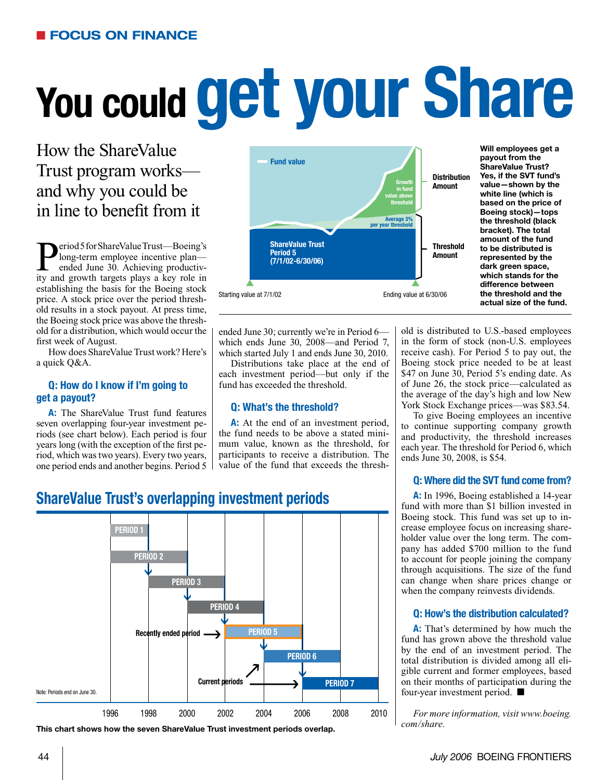# **You could get your Share**

How the ShareValue Trust program works and why you could be in line to benefit from it

**P**eriod 5 for ShareValue Trust—Boeing's<br>
ended June 30. Achieving productive<br>
ity and growth targets plays a key role in long-term employee incentive plan ended June 30. Achieving productivity and growth targets plays a key role in establishing the basis for the Boeing stock price. A stock price over the period threshold results in a stock payout. At press time, the Boeing stock price was above the threshold for a distribution, which would occur the first week of August.

How does ShareValue Trust work? Here's a quick Q&A.

#### **Q: How do I know if I'm going to get a payout?**

**A:** The ShareValue Trust fund features seven overlapping four-year investment periods (see chart below). Each period is four years long (with the exception of the first period, which was two years). Every two years, one period ends and another begins. Period 5



**Will employees get a payout from the ShareValue Trust? Yes, if the SVT fund's value—shown by the white line (which is based on the price of Boeing stock)—tops the threshold (black bracket). The total amount of the fund to be distributed is represented by the dark green space, which stands for the difference between the threshold and the actual size of the fund.** 

ended June 30; currently we're in Period 6 which ends June 30, 2008—and Period 7, which started July 1 and ends June 30, 2010.

Distributions take place at the end of each investment period—but only if the fund has exceeded the threshold.

#### **Q: What's the threshold?**

**A:** At the end of an investment period, the fund needs to be above a stated minimum value, known as the threshold, for participants to receive a distribution. The value of the fund that exceeds the threshold is distributed to U.S.-based employees in the form of stock (non-U.S. employees receive cash). For Period 5 to pay out, the Boeing stock price needed to be at least \$47 on June 30, Period 5's ending date. As of June 26, the stock price—calculated as the average of the day's high and low New York Stock Exchange prices—was \$83.54.

To give Boeing employees an incentive to continue supporting company growth and productivity, the threshold increases each year. The threshold for Period 6, which ends June 30, 2008, is \$54.

#### **Q: Where did the SVT fund come from?**

**A:** In 1996, Boeing established a 14-year fund with more than \$1 billion invested in Boeing stock. This fund was set up to increase employee focus on increasing shareholder value over the long term. The company has added \$700 million to the fund to account for people joining the company through acquisitions. The size of the fund can change when share prices change or when the company reinvests dividends.

#### **Q: How's the distribution calculated?**

**A:** That's determined by how much the fund has grown above the threshold value by the end of an investment period. The total distribution is divided among all eligible current and former employees, based on their months of participation during the four-year investment period.  $\blacksquare$ 

*For more information, visit www.boeing.*

#### **ShareValue Trust's overlapping investment periods**